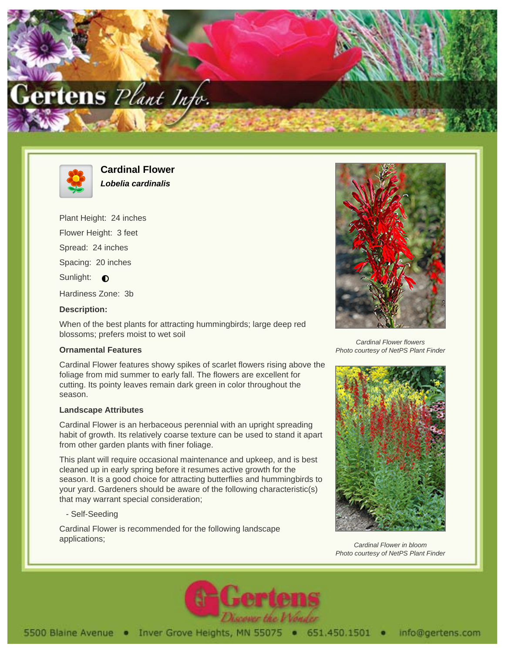



**Cardinal Flower Lobelia cardinalis**

Plant Height: 24 inches

Flower Height: 3 feet

Spread: 24 inches

Spacing: 20 inches

Sunlight:  $\bigcirc$ 

Hardiness Zone: 3b

## **Description:**

When of the best plants for attracting hummingbirds; large deep red blossoms; prefers moist to wet soil

## **Ornamental Features**

Cardinal Flower features showy spikes of scarlet flowers rising above the foliage from mid summer to early fall. The flowers are excellent for cutting. Its pointy leaves remain dark green in color throughout the season.

## **Landscape Attributes**

Cardinal Flower is an herbaceous perennial with an upright spreading habit of growth. Its relatively coarse texture can be used to stand it apart from other garden plants with finer foliage.

This plant will require occasional maintenance and upkeep, and is best cleaned up in early spring before it resumes active growth for the season. It is a good choice for attracting butterflies and hummingbirds to your yard. Gardeners should be aware of the following characteristic(s) that may warrant special consideration;

- Self-Seeding

Cardinal Flower is recommended for the following landscape applications;



Cardinal Flower flowers Photo courtesy of NetPS Plant Finder



Cardinal Flower in bloom Photo courtesy of NetPS Plant Finder